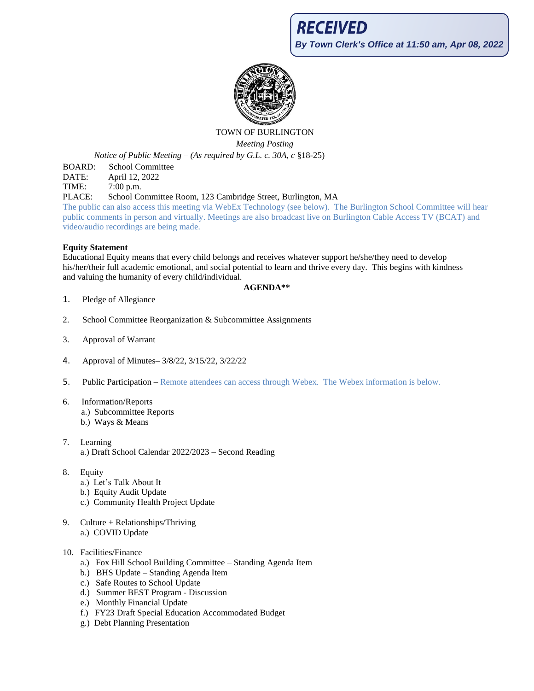

# TOWN OF BURLINGTON

*Meeting Posting*

*Notice of Public Meeting – (As required by G.L. c. 30A, c* §18-25)

BOARD: School Committee

DATE: April 12, 2022

TIME: 7:00 p.m.

PLACE: School Committee Room, 123 Cambridge Street, Burlington, MA

The public can also access this meeting via WebEx Technology (see below). The Burlington School Committee will hear public comments in person and virtually. Meetings are also broadcast live on Burlington Cable Access TV (BCAT) and video/audio recordings are being made.

## **Equity Statement**

Educational Equity means that every child belongs and receives whatever support he/she/they need to develop his/her/their full academic emotional, and social potential to learn and thrive every day. This begins with kindness and valuing the humanity of every child/individual.

## **AGENDA\*\***

- 1. Pledge of Allegiance
- 2. School Committee Reorganization & Subcommittee Assignments
- 3. Approval of Warrant
- 4. Approval of Minutes– 3/8/22, 3/15/22, 3/22/22
- 5. Public Participation Remote attendees can access through Webex. The Webex information is below.
- 6. Information/Reports a.) Subcommittee Reports b.) Ways & Means
- 7. Learning a.) Draft School Calendar 2022/2023 – Second Reading
- 8. Equity
	- a.) Let's Talk About It
	- b.) Equity Audit Update
	- c.) Community Health Project Update
- 9. Culture + Relationships/Thriving a.) COVID Update

## 10. Facilities/Finance

- a.) Fox Hill School Building Committee Standing Agenda Item
- b.) BHS Update Standing Agenda Item
- c.) Safe Routes to School Update
- d.) Summer BEST Program Discussion
- e.) Monthly Financial Update
- f.) FY23 Draft Special Education Accommodated Budget
- g.) Debt Planning Presentation